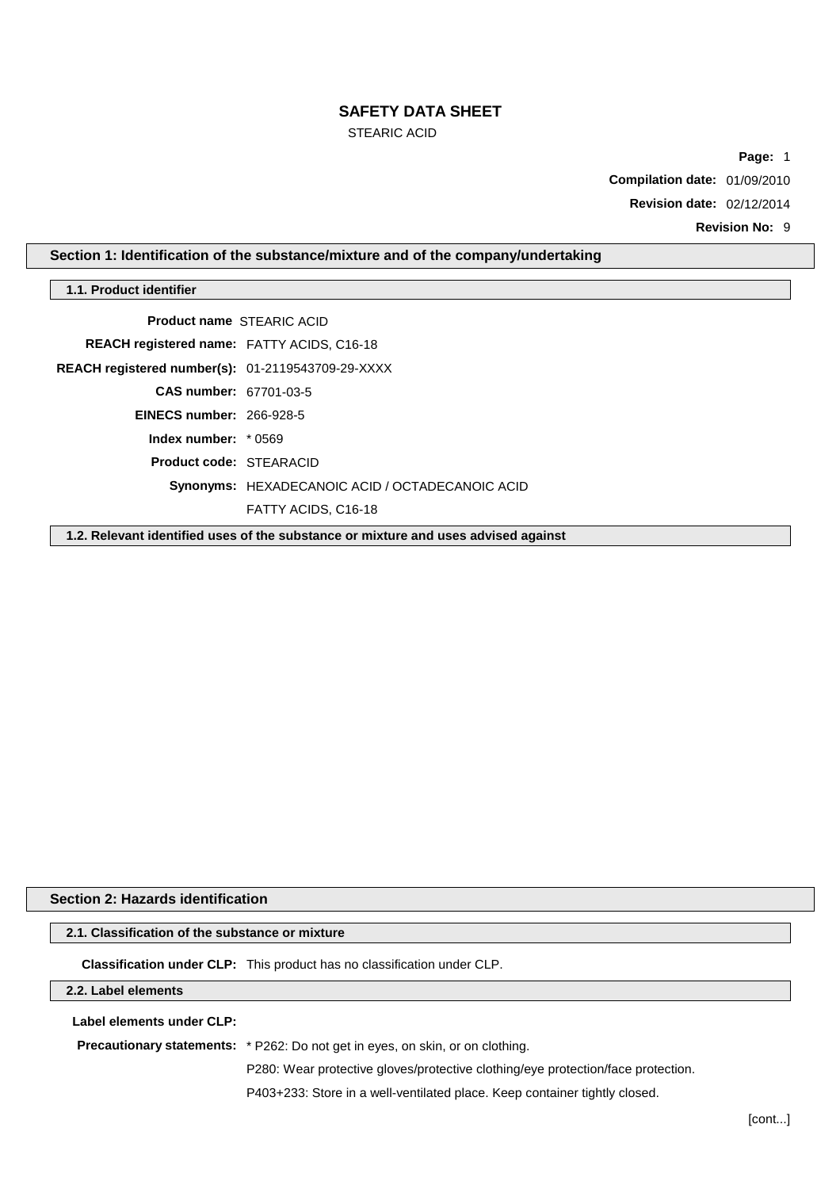# **SAFETY DATA SHEET**

STEARIC ACID

**Page:** 1

**Compilation date:** 01/09/2010

**Revision date:** 02/12/2014

**Revision No:** 9

# **Section 1: Identification of the substance/mixture and of the company/undertaking**

### **1.1. Product identifier**

| <b>Product name STEARIC ACID</b>                  |                                                 |
|---------------------------------------------------|-------------------------------------------------|
| <b>REACH registered name: FATTY ACIDS, C16-18</b> |                                                 |
| REACH registered number(s): 01-2119543709-29-XXXX |                                                 |
| CAS number: 67701-03-5                            |                                                 |
| <b>EINECS number: 266-928-5</b>                   |                                                 |
| Index number: $*0569$                             |                                                 |
| <b>Product code: STEARACID</b>                    |                                                 |
|                                                   | Synonyms: HEXADECANOIC ACID / OCTADECANOIC ACID |
|                                                   | FATTY ACIDS, C16-18                             |
|                                                   |                                                 |

**1.2. Relevant identified uses of the substance or mixture and uses advised against**

# **Section 2: Hazards identification**

# **2.1. Classification of the substance or mixture**

**Classification under CLP:** This product has no classification under CLP.

### **2.2. Label elements**

**Label elements under CLP:**

**Precautionary statements:** \* P262: Do not get in eyes, on skin, or on clothing.

P280: Wear protective gloves/protective clothing/eye protection/face protection.

P403+233: Store in a well-ventilated place. Keep container tightly closed.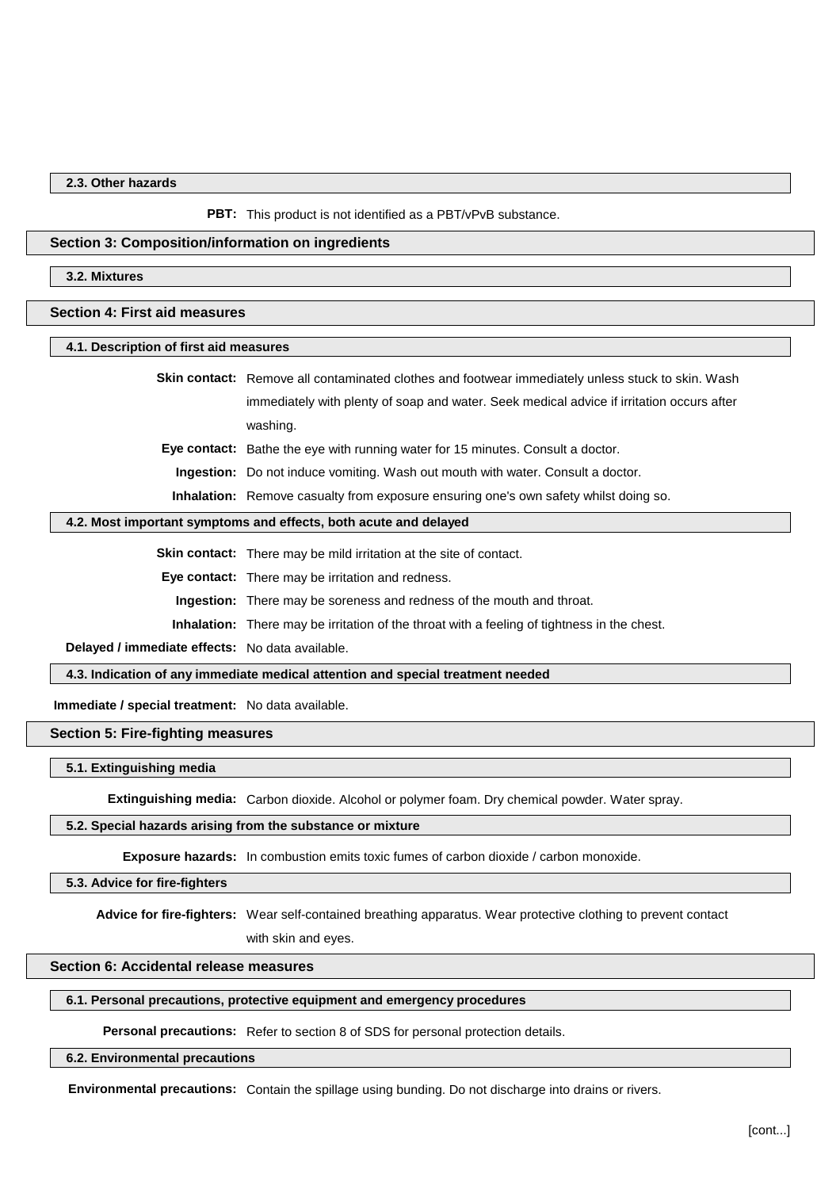### **2.3. Other hazards**

#### **PBT:** This product is not identified as a PBT/vPvB substance.

### **Section 3: Composition/information on ingredients**

### **3.2. Mixtures**

#### **Section 4: First aid measures**

### **4.1. Description of first aid measures**

**Skin contact:** Remove all contaminated clothes and footwear immediately unless stuck to skin. Wash immediately with plenty of soap and water. Seek medical advice if irritation occurs after washing.

**Eye contact:** Bathe the eye with running water for 15 minutes. Consult a doctor.

**Ingestion:** Do not induce vomiting. Wash out mouth with water. Consult a doctor.

**Inhalation:** Remove casualty from exposure ensuring one's own safety whilst doing so.

### **4.2. Most important symptoms and effects, both acute and delayed**

**Skin contact:** There may be mild irritation at the site of contact.

**Eye contact:** There may be irritation and redness.

**Ingestion:** There may be soreness and redness of the mouth and throat.

**Inhalation:** There may be irritation of the throat with a feeling of tightness in the chest.

**Delayed / immediate effects:** No data available.

**4.3. Indication of any immediate medical attention and special treatment needed**

**Immediate / special treatment:** No data available.

# **Section 5: Fire-fighting measures**

### **5.1. Extinguishing media**

**Extinguishing media:** Carbon dioxide. Alcohol or polymer foam. Dry chemical powder. Water spray.

# **5.2. Special hazards arising from the substance or mixture**

**Exposure hazards:** In combustion emits toxic fumes of carbon dioxide / carbon monoxide.

#### **5.3. Advice for fire-fighters**

**Advice for fire-fighters:** Wear self-contained breathing apparatus. Wear protective clothing to prevent contact with skin and eyes.

### **Section 6: Accidental release measures**

### **6.1. Personal precautions, protective equipment and emergency procedures**

**Personal precautions:** Refer to section 8 of SDS for personal protection details.

**6.2. Environmental precautions**

**Environmental precautions:** Contain the spillage using bunding. Do not discharge into drains or rivers.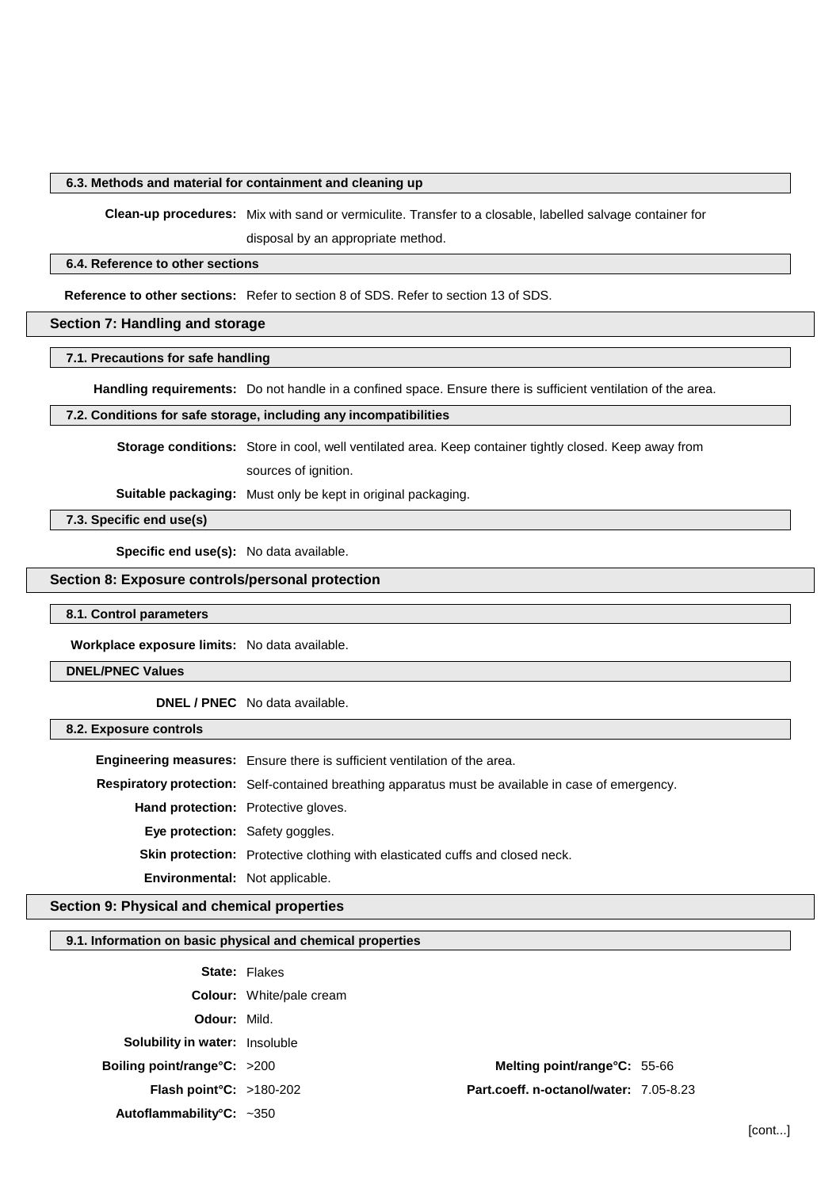# **6.3. Methods and material for containment and cleaning up**

**Clean-up procedures:** Mix with sand or vermiculite. Transfer to a closable, labelled salvage container for disposal by an appropriate method.

### **6.4. Reference to other sections**

**Reference to other sections:** Refer to section 8 of SDS. Refer to section 13 of SDS.

# **Section 7: Handling and storage**

# **7.1. Precautions for safe handling**

**Handling requirements:** Do not handle in a confined space. Ensure there is sufficient ventilation of the area.

#### **7.2. Conditions for safe storage, including any incompatibilities**

**Storage conditions:** Store in cool, well ventilated area. Keep container tightly closed. Keep away from

sources of ignition.

**Suitable packaging:** Must only be kept in original packaging.

# **7.3. Specific end use(s)**

**Specific end use(s):** No data available.

# **Section 8: Exposure controls/personal protection**

### **8.1. Control parameters**

**Workplace exposure limits:** No data available.

# **DNEL/PNEC Values**

**DNEL / PNEC** No data available.

### **8.2. Exposure controls**

|                                            | <b>Engineering measures:</b> Ensure there is sufficient ventilation of the area.                          |
|--------------------------------------------|-----------------------------------------------------------------------------------------------------------|
|                                            | <b>Respiratory protection:</b> Self-contained breathing apparatus must be available in case of emergency. |
| <b>Hand protection:</b> Protective gloves. |                                                                                                           |
| Eye protection: Safety goggles.            |                                                                                                           |
|                                            | <b>Skin protection:</b> Protective clothing with elasticated cuffs and closed neck.                       |
| <b>Environmental:</b> Not applicable.      |                                                                                                           |

# **Section 9: Physical and chemical properties**

# **9.1. Information on basic physical and chemical properties**

|                                       | <b>State: Flakes</b>            |                                        |  |
|---------------------------------------|---------------------------------|----------------------------------------|--|
|                                       | <b>Colour:</b> White/pale cream |                                        |  |
| <b>Odour: Mild.</b>                   |                                 |                                        |  |
| <b>Solubility in water: Insoluble</b> |                                 |                                        |  |
| <b>Boiling point/range°C:</b> >200    |                                 | Melting point/range°C: 55-66           |  |
| <b>Flash point °C:</b> $>180-202$     |                                 | Part.coeff. n-octanol/water: 7.05-8.23 |  |
| Autoflammability°C: $\sim$ 350        |                                 |                                        |  |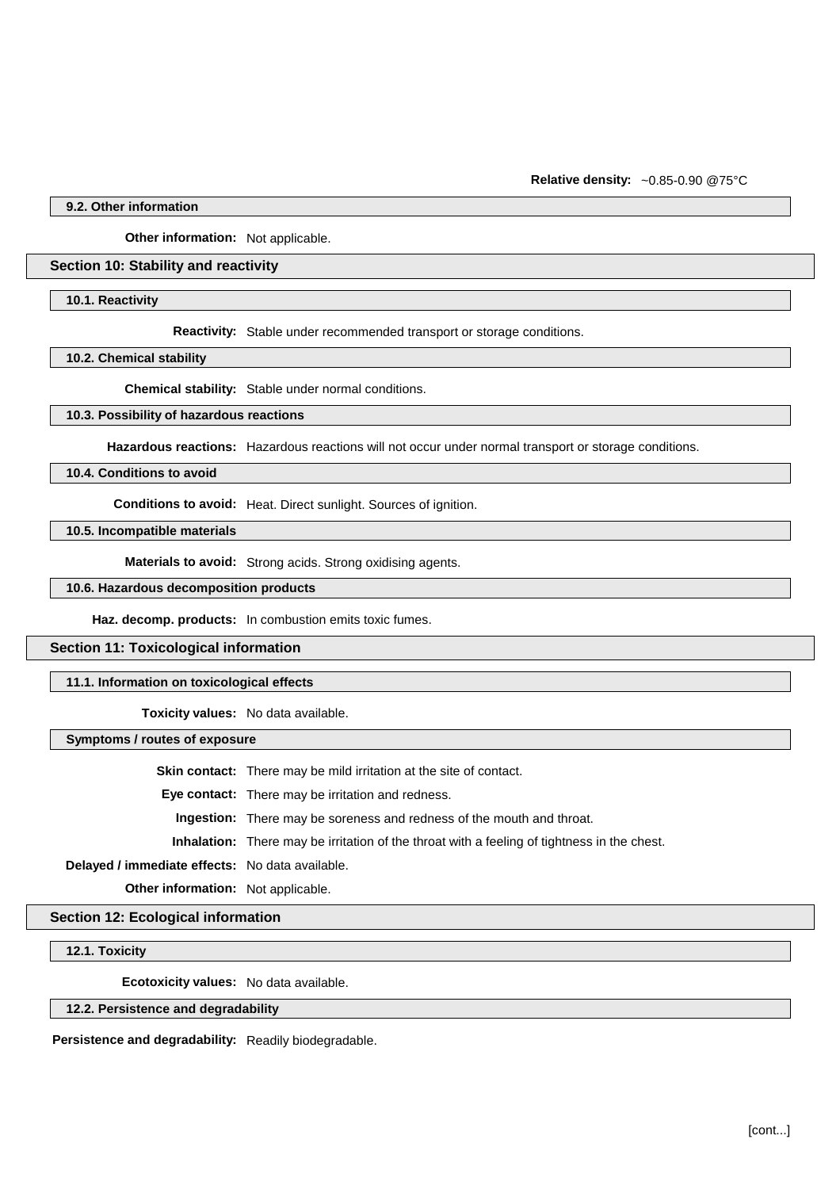**Relative density:** ~0.85-0.90 @75°C

**9.2. Other information**

**Other information:** Not applicable.

### **Section 10: Stability and reactivity**

**10.1. Reactivity**

**Reactivity:** Stable under recommended transport or storage conditions.

**10.2. Chemical stability**

**Chemical stability:** Stable under normal conditions.

### **10.3. Possibility of hazardous reactions**

**Hazardous reactions:** Hazardous reactions will not occur under normal transport or storage conditions.

**10.4. Conditions to avoid**

**Conditions to avoid:** Heat. Direct sunlight. Sources of ignition.

**10.5. Incompatible materials**

**Materials to avoid:** Strong acids. Strong oxidising agents.

**10.6. Hazardous decomposition products**

**Haz. decomp. products:** In combustion emits toxic fumes.

### **Section 11: Toxicological information**

**11.1. Information on toxicological effects**

**Toxicity values:** No data available.

**Symptoms / routes of exposure**

**Skin contact:** There may be mild irritation at the site of contact.

**Eye contact:** There may be irritation and redness.

**Ingestion:** There may be soreness and redness of the mouth and throat.

**Inhalation:** There may be irritation of the throat with a feeling of tightness in the chest.

**Delayed / immediate effects:** No data available.

**Other information:** Not applicable.

**Section 12: Ecological information**

**12.1. Toxicity**

**Ecotoxicity values:** No data available.

# **12.2. Persistence and degradability**

**Persistence and degradability:** Readily biodegradable.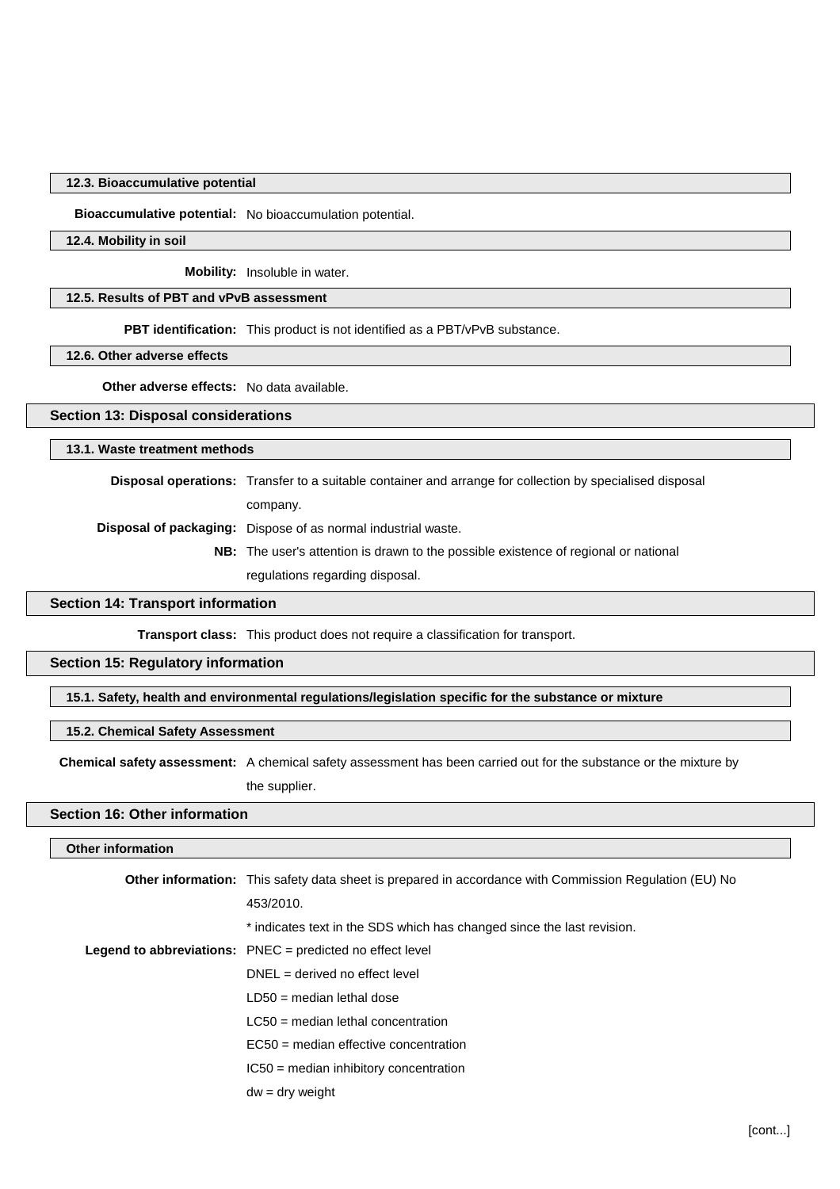### **12.3. Bioaccumulative potential**

**Bioaccumulative potential:** No bioaccumulation potential.

### **12.4. Mobility in soil**

**Mobility:** Insoluble in water.

# **12.5. Results of PBT and vPvB assessment**

**PBT identification:** This product is not identified as a PBT/vPvB substance.

### **12.6. Other adverse effects**

**Other adverse effects:** No data available.

### **Section 13: Disposal considerations**

## **13.1. Waste treatment methods**

**Disposal operations:** Transfer to a suitable container and arrange for collection by specialised disposal company.

**Disposal of packaging:** Dispose of as normal industrial waste.

**NB:** The user's attention is drawn to the possible existence of regional or national regulations regarding disposal.

### **Section 14: Transport information**

**Transport class:** This product does not require a classification for transport.

### **Section 15: Regulatory information**

### **15.1. Safety, health and environmental regulations/legislation specific for the substance or mixture**

### **15.2. Chemical Safety Assessment**

**Chemical safety assessment:** A chemical safety assessment has been carried out for the substance or the mixture by

the supplier.

# **Section 16: Other information**

## **Other information**

| <b>Other information:</b> This safety data sheet is prepared in accordance with Commission Regulation (EU) No |
|---------------------------------------------------------------------------------------------------------------|
| 453/2010.                                                                                                     |
| * indicates text in the SDS which has changed since the last revision.                                        |
| <b>Legend to abbreviations:</b> $PNEC = predicted no effect level$                                            |
| $DNEL = derived no effect level$                                                                              |
| $LD50$ = median lethal dose                                                                                   |
| $LC50$ = median lethal concentration                                                                          |
| $EC50$ = median effective concentration                                                                       |
| $IC50$ = median inhibitory concentration                                                                      |
| $dw = dry$ weight                                                                                             |